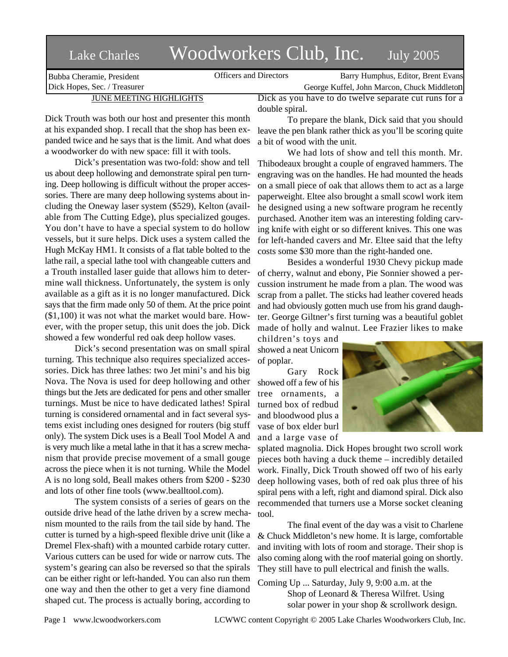Bubba Cheramie, President Dick Hopes, Sec. / Treasurer

# Lake Charles Woodworkers Club, Inc. July 2005

Officers and Directors Barry Humphus, Editor, Brent Evans George Kuffel, John Marcon, Chuck Middleton

## JUNE MEETING HIGHLIGHTS

Dick Trouth was both our host and presenter this month at his expanded shop. I recall that the shop has been expanded twice and he says that is the limit. And what does a woodworker do with new space: fill it with tools.

Dick's presentation was two-fold: show and tell us about deep hollowing and demonstrate spiral pen turning. Deep hollowing is difficult without the proper accessories. There are many deep hollowing systems about including the Oneway laser system (\$529), Kelton (available from The Cutting Edge), plus specialized gouges. You don't have to have a special system to do hollow vessels, but it sure helps. Dick uses a system called the Hugh McKay HM1. It consists of a flat table bolted to the lathe rail, a special lathe tool with changeable cutters and a Trouth installed laser guide that allows him to determine wall thickness. Unfortunately, the system is only available as a gift as it is no longer manufactured. Dick says that the firm made only 50 of them. At the price point (\$1,100) it was not what the market would bare. However, with the proper setup, this unit does the job. Dick showed a few wonderful red oak deep hollow vases.

Dick's second presentation was on small spiral turning. This technique also requires specialized accessories. Dick has three lathes: two Jet mini's and his big Nova. The Nova is used for deep hollowing and other things but the Jets are dedicated for pens and other smaller turnings. Must be nice to have dedicated lathes! Spiral turning is considered ornamental and in fact several systems exist including ones designed for routers (big stuff only). The system Dick uses is a Beall Tool Model A and is very much like a metal lathe in that it has a screw mechanism that provide precise movement of a small gouge across the piece when it is not turning. While the Model A is no long sold, Beall makes others from \$200 - \$230 and lots of other fine tools (www.bealltool.com).

The system consists of a series of gears on the outside drive head of the lathe driven by a screw mechanism mounted to the rails from the tail side by hand. The cutter is turned by a high-speed flexible drive unit (like a Dremel Flex-shaft) with a mounted carbide rotary cutter. Various cutters can be used for wide or narrow cuts. The system's gearing can also be reversed so that the spirals can be either right or left-handed. You can also run them one way and then the other to get a very fine diamond shaped cut. The process is actually boring, according to

Dick as you have to do twelve separate cut runs for a double spiral.

To prepare the blank, Dick said that you should leave the pen blank rather thick as you'll be scoring quite a bit of wood with the unit.

We had lots of show and tell this month. Mr. Thibodeaux brought a couple of engraved hammers. The engraving was on the handles. He had mounted the heads on a small piece of oak that allows them to act as a large paperweight. Eltee also brought a small scowl work item he designed using a new software program he recently purchased. Another item was an interesting folding carving knife with eight or so different knives. This one was for left-handed cavers and Mr. Eltee said that the lefty costs some \$30 more than the right-handed one.

Besides a wonderful 1930 Chevy pickup made of cherry, walnut and ebony, Pie Sonnier showed a percussion instrument he made from a plan. The wood was scrap from a pallet. The sticks had leather covered heads and had obviously gotten much use from his grand daughter. George Giltner's first turning was a beautiful goblet made of holly and walnut. Lee Frazier likes to make

children's toys and showed a neat Unicorn of poplar.

Gary Rock showed off a few of his tree ornaments, a turned box of redbud and bloodwood plus a vase of box elder burl and a large vase of



splated magnolia. Dick Hopes brought two scroll work pieces both having a duck theme – incredibly detailed work. Finally, Dick Trouth showed off two of his early deep hollowing vases, both of red oak plus three of his spiral pens with a left, right and diamond spiral. Dick also recommended that turners use a Morse socket cleaning tool.

The final event of the day was a visit to Charlene & Chuck Middleton's new home. It is large, comfortable and inviting with lots of room and storage. Their shop is also coming along with the roof material going on shortly. They still have to pull electrical and finish the walls.

Coming Up ... Saturday, July 9, 9:00 a.m. at the Shop of Leonard & Theresa Wilfret. Using solar power in your shop & scrollwork design.

Page 1 www.lcwoodworkers.com LCWWC content Copyright © 2005 Lake Charles Woodworkers Club, Inc.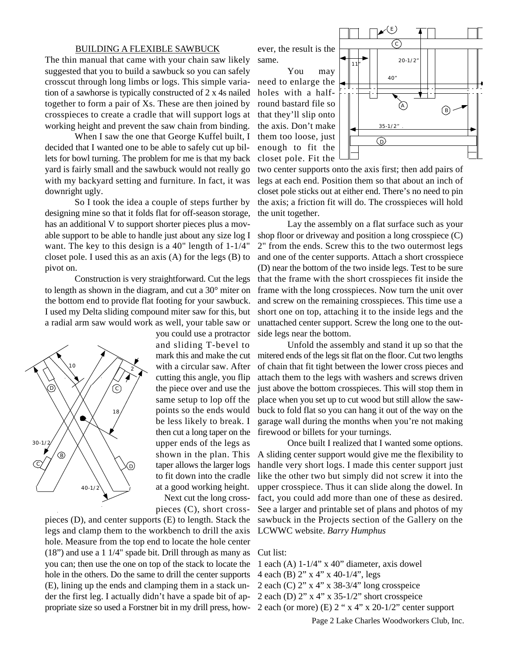### BUILDING A FLEXIBLE SAWBUCK

The thin manual that came with your chain saw likely suggested that you to build a sawbuck so you can safely crosscut through long limbs or logs. This simple variation of a sawhorse is typically constructed of 2 x 4s nailed together to form a pair of Xs. These are then joined by crosspieces to create a cradle that will support logs at working height and prevent the saw chain from binding.

When I saw the one that George Kuffel built, I decided that I wanted one to be able to safely cut up billets for bowl turning. The problem for me is that my back yard is fairly small and the sawbuck would not really go with my backyard setting and furniture. In fact, it was downright ugly.

So I took the idea a couple of steps further by designing mine so that it folds flat for off-season storage, has an additional V to support shorter pieces plus a movable support to be able to handle just about any size log I want. The key to this design is a 40" length of 1-1/4" closet pole. I used this as an axis (A) for the legs (B) to pivot on.

Construction is very straightforward. Cut the legs to length as shown in the diagram, and cut a 30° miter on the bottom end to provide flat footing for your sawbuck. I used my Delta sliding compound miter saw for this, but a radial arm saw would work as well, your table saw or



you could use a protractor and sliding T-bevel to mark this and make the cut with a circular saw. After cutting this angle, you flip the piece over and use the same setup to lop off the points so the ends would be less likely to break. I then cut a long taper on the upper ends of the legs as shown in the plan. This taper allows the larger logs to fit down into the cradle at a good working height. Next cut the long cross-

pieces (C), short cross-

pieces (D), and center supports (E) to length. Stack the legs and clamp them to the workbench to drill the axis hole. Measure from the top end to locate the hole center (18") and use a 1 1/4" spade bit. Drill through as many as you can; then use the one on top of the stack to locate the hole in the others. Do the same to drill the center supports (E), lining up the ends and clamping them in a stack under the first leg. I actually didn't have a spade bit of appropriate size so used a Forstner bit in my drill press, how-2 each (or more) (E) 2 " x 4" x 20-1/2" center support

ever, the result is the same.

You may need to enlarge the holes with a halfround bastard file so that they'll slip onto the axis. Don't make them too loose, just enough to fit the closet pole. Fit the



two center supports onto the axis first; then add pairs of legs at each end. Position them so that about an inch of closet pole sticks out at either end. There's no need to pin the axis; a friction fit will do. The crosspieces will hold the unit together.

Lay the assembly on a flat surface such as your shop floor or driveway and position a long crosspiece (C) 2" from the ends. Screw this to the two outermost legs and one of the center supports. Attach a short crosspiece (D) near the bottom of the two inside legs. Test to be sure that the frame with the short crosspieces fit inside the frame with the long crosspieces. Now turn the unit over and screw on the remaining crosspieces. This time use a short one on top, attaching it to the inside legs and the unattached center support. Screw the long one to the outside legs near the bottom.

Unfold the assembly and stand it up so that the mitered ends of the legs sit flat on the floor. Cut two lengths of chain that fit tight between the lower cross pieces and attach them to the legs with washers and screws driven just above the bottom crosspieces. This will stop them in place when you set up to cut wood but still allow the sawbuck to fold flat so you can hang it out of the way on the garage wall during the months when you're not making firewood or billets for your turnings.

Once built I realized that I wanted some options. A sliding center support would give me the flexibility to handle very short logs. I made this center support just like the other two but simply did not screw it into the upper crosspiece. Thus it can slide along the dowel. In fact, you could add more than one of these as desired. See a larger and printable set of plans and photos of my sawbuck in the Projects section of the Gallery on the LCWWC website. *Barry Humphus*

### Cut list:

- 1 each (A)  $1-1/4$ " x 40" diameter, axis dowel
- 4 each (B) 2" x 4" x 40-1/4", legs
- 2 each (C) 2" x 4" x 38-3/4" long crosspeice
- 2 each (D) 2" x 4" x 35-1/2" short crosspeice
	-

Page 2 Lake Charles Woodworkers Club, Inc.